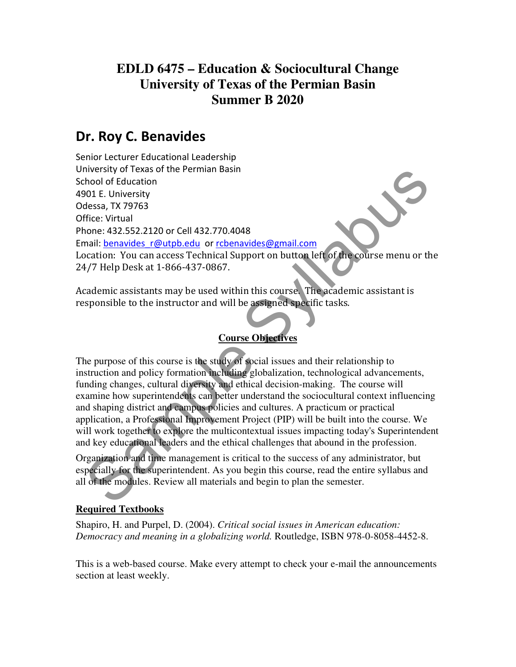# **EDLD 6475 – Education & Sociocultural Change University of Texas of the Permian Basin Summer B 2020**

# Dr. Roy C. Benavides

niversity of lexas of the Permian Basin<br>
theolof of Education<br>
one: 432.552.2120 or Cell 432.770.4048<br>
ffice: Virtual<br>
none: 432.552.2120 or Cell 432.770.4048<br>
ffice: Virtual<br>
none: 432.552.2120 or Cell 432.770.4048<br>
ffice Senior Lecturer Educational Leadership University of Texas of the Permian Basin School of Education 4901 E. University Odessa, TX 79763 Office: Virtual Phone: 432.552.2120 or Cell 432.770.4048 Email: benavides r@utpb.edu or rcbenavides@gmail.com Location: You can access Technical Support on button left of the course menu or the 24/7 Help Desk at 1-866-437-0867.

Academic assistants may be used within this course. The academic assistant is responsible to the instructor and will be assigned specific tasks.

### **Course Objectives**

The purpose of this course is the study of social issues and their relationship to instruction and policy formation including globalization, technological advancements, funding changes, cultural diversity and ethical decision-making. The course will examine how superintendents can better understand the sociocultural context influencing and shaping district and campus policies and cultures. A practicum or practical application, a Professional Improvement Project (PIP) will be built into the course. We will work together to explore the multicontextual issues impacting today's Superintendent and key educational leaders and the ethical challenges that abound in the profession.

Organization and time management is critical to the success of any administrator, but especially for the superintendent. As you begin this course, read the entire syllabus and all of the modules. Review all materials and begin to plan the semester.

### **Required Textbooks**

Shapiro, H. and Purpel, D. (2004). *Critical social issues in American education: Democracy and meaning in a globalizing world.* Routledge, ISBN 978-0-8058-4452-8.

This is a web-based course. Make every attempt to check your e-mail the announcements section at least weekly.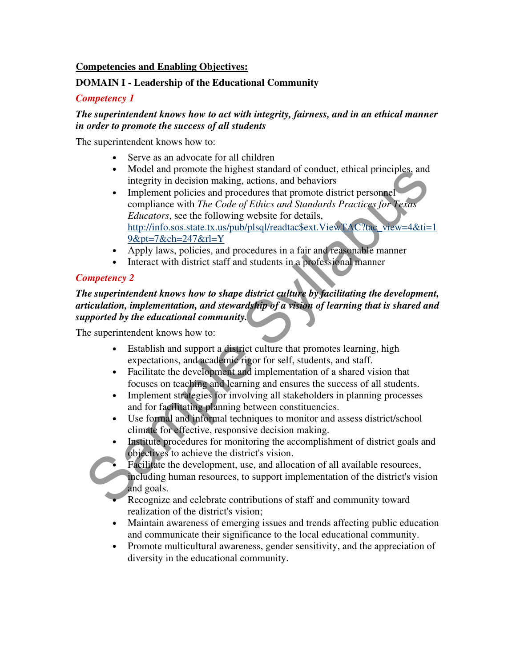### **Competencies and Enabling Objectives:**

### **DOMAIN I - Leadership of the Educational Community**

#### *Competency 1*

### *The superintendent knows how to act with integrity, fairness, and in an ethical manner in order to promote the success of all students*

The superintendent knows how to:

- Serve as an advocate for all children
- Model and promote the highest standard of conduct, ethical principles, and integrity in decision making, actions, and behaviors
- Model and promote the inglest standard of conduct, ethical principles, and<br>integrity in decision making, actions, and behaviors<br>
 Implement policies and procedures that promote district personnel<br> *Educators*, see the • Implement policies and procedures that promote district personnel compliance with *The Code of Ethics and Standards Practices for Texas Educators*, see the following website for details, http://info.sos.state.tx.us/pub/plsql/readtac\$ext.ViewTAC?tac\_view=4&ti=1 9&pt=7&ch=247&rl=Y
	- Apply laws, policies, and procedures in a fair and reasonable manner
	- Interact with district staff and students in a professional manner

### *Competency 2*

### *The superintendent knows how to shape district culture by facilitating the development, articulation, implementation, and stewardship of a vision of learning that is shared and supported by the educational community.*

The superintendent knows how to:

- Establish and support a district culture that promotes learning, high expectations, and academic rigor for self, students, and staff.
- Facilitate the development and implementation of a shared vision that focuses on teaching and learning and ensures the success of all students.
- Implement strategies for involving all stakeholders in planning processes and for facilitating planning between constituencies.
- Use formal and informal techniques to monitor and assess district/school climate for effective, responsive decision making.
- Institute procedures for monitoring the accomplishment of district goals and objectives to achieve the district's vision.
	- Facilitate the development, use, and allocation of all available resources, including human resources, to support implementation of the district's vision and goals.
- Recognize and celebrate contributions of staff and community toward realization of the district's vision;
- Maintain awareness of emerging issues and trends affecting public education and communicate their significance to the local educational community.
- Promote multicultural awareness, gender sensitivity, and the appreciation of diversity in the educational community.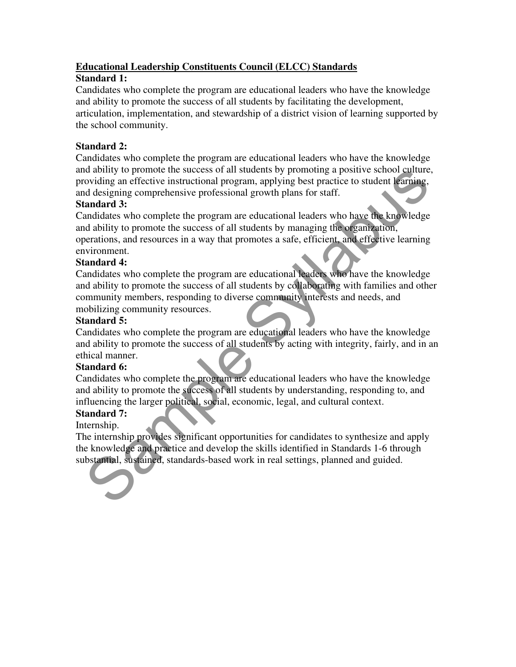### **Educational Leadership Constituents Council (ELCC) Standards**

### **Standard 1:**

Candidates who complete the program are educational leaders who have the knowledge and ability to promote the success of all students by facilitating the development, articulation, implementation, and stewardship of a district vision of learning supported by the school community.

### **Standard 2:**

Candidates who complete the program are educational leaders who have the knowledge and ability to promote the success of all students by promoting a positive school culture, providing an effective instructional program, applying best practice to student learning, and designing comprehensive professional growth plans for staff.

### **Standard 3:**

d ability to promote the success of all students by promoting a positive school culture,<br>to different and the success of all students by proparities to student learning,<br>and designing comprehensive professional growth plan Candidates who complete the program are educational leaders who have the knowledge and ability to promote the success of all students by managing the organization, operations, and resources in a way that promotes a safe, efficient, and effective learning environment.

### **Standard 4:**

Candidates who complete the program are educational leaders who have the knowledge and ability to promote the success of all students by collaborating with families and other community members, responding to diverse community interests and needs, and mobilizing community resources.

### **Standard 5:**

Candidates who complete the program are educational leaders who have the knowledge and ability to promote the success of all students by acting with integrity, fairly, and in an ethical manner.

### **Standard 6:**

Candidates who complete the program are educational leaders who have the knowledge and ability to promote the success of all students by understanding, responding to, and influencing the larger political, social, economic, legal, and cultural context.

### **Standard 7:**

Internship.

The internship provides significant opportunities for candidates to synthesize and apply the knowledge and practice and develop the skills identified in Standards 1-6 through substantial, sustained, standards-based work in real settings, planned and guided.

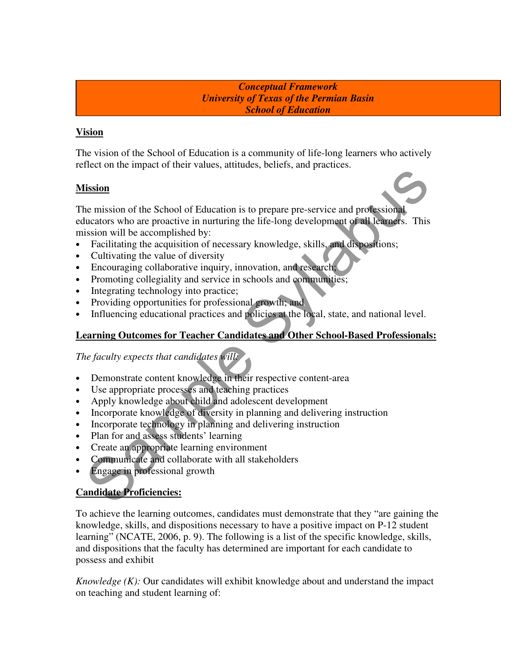*Conceptual Framework University of Texas of the Permian Basin School of Education* 

### **Vision**

The vision of the School of Education is a community of life-long learners who actively reflect on the impact of their values, attitudes, beliefs, and practices.

### **Mission**

**Electro The School of Education** is to prepare pre-service and professional<br>lucators who are proactive in nurturing the life-long development of all leaners. This<br>ission will be accomplished by:<br>lucators who are proactive The mission of the School of Education is to prepare pre-service and professional educators who are proactive in nurturing the life-long development of all learners. This mission will be accomplished by:

- Facilitating the acquisition of necessary knowledge, skills, and dispositions;
- Cultivating the value of diversity
- Encouraging collaborative inquiry, innovation, and research;
- Promoting collegiality and service in schools and communities;
- Integrating technology into practice;
- Providing opportunities for professional growth; and
- Influencing educational practices and policies at the local, state, and national level.

### **Learning Outcomes for Teacher Candidates and Other School-Based Professionals:**

*The faculty expects that candidates will:*

- Demonstrate content knowledge in their respective content-area
- Use appropriate processes and teaching practices
- Apply knowledge about child and adolescent development
- Incorporate knowledge of diversity in planning and delivering instruction
- Incorporate technology in planning and delivering instruction
- Plan for and assess students' learning
- Create an appropriate learning environment
- Communicate and collaborate with all stakeholders
- Engage in professional growth

### **Candidate Proficiencies:**

To achieve the learning outcomes, candidates must demonstrate that they "are gaining the knowledge, skills, and dispositions necessary to have a positive impact on P-12 student learning" (NCATE, 2006, p. 9). The following is a list of the specific knowledge, skills, and dispositions that the faculty has determined are important for each candidate to possess and exhibit

*Knowledge (K):* Our candidates will exhibit knowledge about and understand the impact on teaching and student learning of: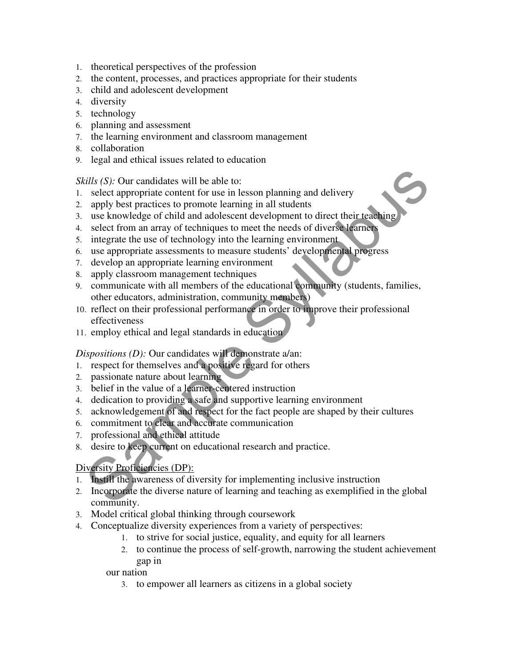- 1. theoretical perspectives of the profession
- 2. the content, processes, and practices appropriate for their students
- 3. child and adolescent development
- 4. diversity
- 5. technology
- 6. planning and assessment
- 7. the learning environment and classroom management
- 8. collaboration
- 9. legal and ethical issues related to education

*Skills (S):* Our candidates will be able to:

- 1. select appropriate content for use in lesson planning and delivery
- 2. apply best practices to promote learning in all students
- 3. use knowledge of child and adolescent development to direct their teaching
- 4. select from an array of techniques to meet the needs of diverse learners
- 5. integrate the use of technology into the learning environment
- 6. use appropriate assessments to measure students' developmental progress
- 7. develop an appropriate learning environment
- 8. apply classroom management techniques
- citis (S): Our candidates will be able to:<br>select appropriate content for use in lesson planning and delivery<br>spely best practices to promote learning in all students<br>use knowledge of child and adolescent development to di 9. communicate with all members of the educational community (students, families, other educators, administration, community members)
- 10. reflect on their professional performance in order to improve their professional effectiveness
- 11. employ ethical and legal standards in education

#### *Dispositions (D):* Our candidates will demonstrate a/an:

- 1. respect for themselves and a positive regard for others
- 2. passionate nature about learning
- 3. belief in the value of a learner-centered instruction
- 4. dedication to providing a safe and supportive learning environment
- 5. acknowledgement of and respect for the fact people are shaped by their cultures
- 6. commitment to clear and accurate communication
- 7. professional and ethical attitude
- 8. desire to keep current on educational research and practice.

### Diversity Proficiencies (DP):

- 1. Instill the awareness of diversity for implementing inclusive instruction
- 2. Incorporate the diverse nature of learning and teaching as exemplified in the global community.
- 3. Model critical global thinking through coursework
- 4. Conceptualize diversity experiences from a variety of perspectives:
	- 1. to strive for social justice, equality, and equity for all learners
	- 2. to continue the process of self-growth, narrowing the student achievement gap in

our nation

3. to empower all learners as citizens in a global society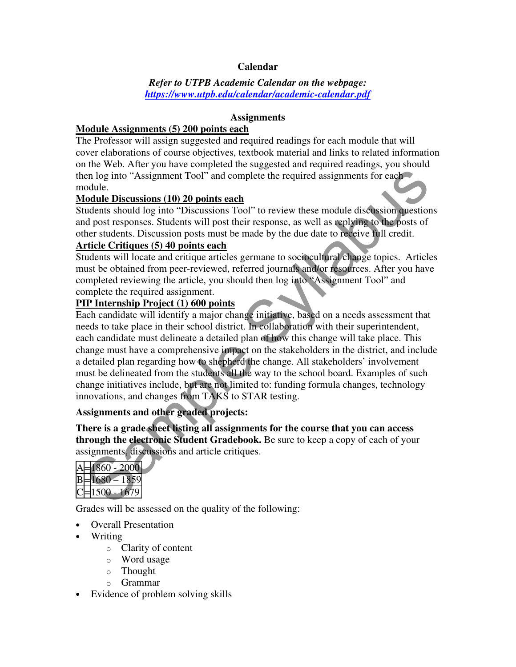### **Calendar**

### *Refer to UTPB Academic Calendar on the webpage: https://www.utpb.edu/calendar/academic-calendar.pdf*

#### **Assignments**

### **Module Assignments (5) 200 points each**

The Professor will assign suggested and required readings for each module that will cover elaborations of course objectives, textbook material and links to related information on the Web. After you have completed the suggested and required readings, you should then log into "Assignment Tool" and complete the required assignments for each module.

### **Module Discussions (10) 20 points each**

Students should log into "Discussions Tool" to review these module discussion questions and post responses. Students will post their response, as well as replying to the posts of other students. Discussion posts must be made by the due date to receive full credit.

### **Article Critiques (5) 40 points each**

Students will locate and critique articles germane to sociocultural change topics. Articles must be obtained from peer-reviewed, referred journals and/or resources. After you have completed reviewing the article, you should then log into "Assignment Tool" and complete the required assignment.

### **PIP Internship Project (1) 600 points**

en log into "Assignment Tool" and complete the required assignments for each<br>odule. Discussions (10) 20 points each<br>odule. Discussions (10) 20 points each<br>odule. Discussions (10) 20 points each<br>odule Discussions (10) 20 p Each candidate will identify a major change initiative, based on a needs assessment that needs to take place in their school district. In collaboration with their superintendent, each candidate must delineate a detailed plan of how this change will take place. This change must have a comprehensive impact on the stakeholders in the district, and include a detailed plan regarding how to shepherd the change. All stakeholders' involvement must be delineated from the students all the way to the school board. Examples of such change initiatives include, but are not limited to: funding formula changes, technology innovations, and changes from TAKS to STAR testing.

### **Assignments and other graded projects:**

**There is a grade sheet listing all assignments for the course that you can access through the electronic Student Gradebook.** Be sure to keep a copy of each of your assignments, discussions and article critiques.

| 860             |
|-----------------|
| 580<br>l y<br>╯ |
| 0               |

Grades will be assessed on the quality of the following:

- Overall Presentation
- Writing
	- o Clarity of content
	- o Word usage
	- o Thought
	- o Grammar
- Evidence of problem solving skills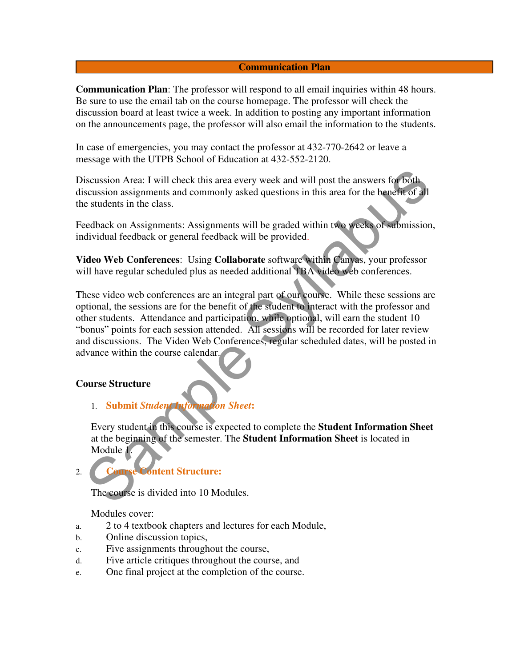#### **Communication Plan**

**Communication Plan**: The professor will respond to all email inquiries within 48 hours. Be sure to use the email tab on the course homepage. The professor will check the discussion board at least twice a week. In addition to posting any important information on the announcements page, the professor will also email the information to the students.

In case of emergencies, you may contact the professor at 432-770-2642 or leave a message with the UTPB School of Education at 432-552-2120.

Discussion Area: I will check this area every week and will post the answers for both discussion assignments and commonly asked questions in this area for the benefit of all the students in the class.

Feedback on Assignments: Assignments will be graded within two weeks of submission, individual feedback or general feedback will be provided.

**Video Web Conferences**: Using **Collaborate** software within Canvas, your professor will have regular scheduled plus as needed additional TBA video web conferences.

iscussion Area: I will check this area every week and will post the answers for both<br>scussion assignments and commonly asked questions in this area for the benefit of all<br>e sudents in the class.<br>Seedlenck or assignments: A These video web conferences are an integral part of our course. While these sessions are optional, the sessions are for the benefit of the student to interact with the professor and other students. Attendance and participation, while optional, will earn the student 10 "bonus" points for each session attended. All sessions will be recorded for later review and discussions. The Video Web Conferences, regular scheduled dates, will be posted in advance within the course calendar.

#### **Course Structure**

1. **Submit** *Student Information Sheet***:**

Every student in this course is expected to complete the **Student Information Sheet**  at the beginning of the semester. The **Student Information Sheet** is located in Module 1.

## 2. **Course Content Structure:**

The course is divided into 10 Modules.

Modules cover:

- a. 2 to 4 textbook chapters and lectures for each Module,
- b. Online discussion topics,
- c. Five assignments throughout the course,
- d. Five article critiques throughout the course, and
- e. One final project at the completion of the course.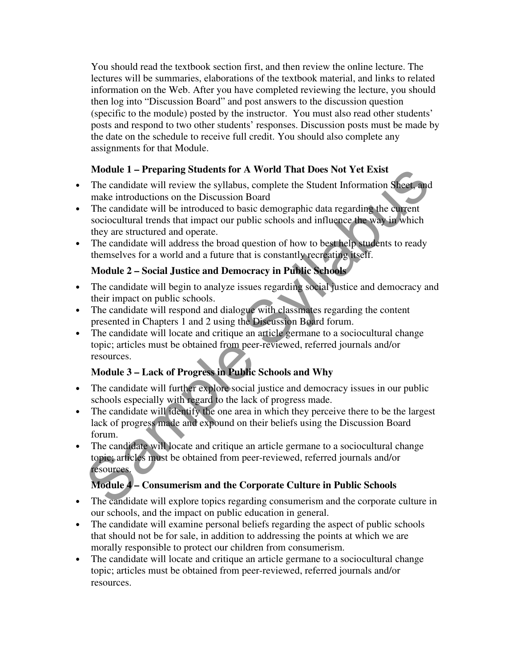You should read the textbook section first, and then review the online lecture. The lectures will be summaries, elaborations of the textbook material, and links to related information on the Web. After you have completed reviewing the lecture, you should then log into "Discussion Board" and post answers to the discussion question (specific to the module) posted by the instructor. You must also read other students' posts and respond to two other students' responses. Discussion posts must be made by the date on the schedule to receive full credit. You should also complete any assignments for that Module.

### **Module 1 – Preparing Students for A World That Does Not Yet Exist**

- The candidate will review the syllabus, complete the Student Information Sheet, and make introductions on the Discussion Board
- The candidate will be introduced to basic demographic data regarding the current sociocultural trends that impact our public schools and influence the way in which they are structured and operate.
- The candidate will address the broad question of how to best help students to ready themselves for a world and a future that is constantly recreating itself.

### **Module 2 – Social Justice and Democracy in Public Schools**

- The candidate will begin to analyze issues regarding social justice and democracy and their impact on public schools.
- The candidate will respond and dialogue with classmates regarding the content presented in Chapters 1 and 2 using the Discussion Board forum.
- The candidate will locate and critique an article germane to a sociocultural change topic; articles must be obtained from peer-reviewed, referred journals and/or resources.

### **Module 3 – Lack of Progress in Public Schools and Why**

- The candidate will further explore social justice and democracy issues in our public schools especially with regard to the lack of progress made.
- The candidate will identify the one area in which they perceive there to be the largest lack of progress made and expound on their beliefs using the Discussion Board forum.
- **Module 1 Preparing Students for A World That Does Not Yet Exist<br>The candidate will review the syllabus, complete the Student Information Sheet, and<br>make introductions on the Discussion Board<br>The candidate will be intro** • The candidate will locate and critique an article germane to a sociocultural change topic; articles must be obtained from peer-reviewed, referred journals and/or resources.

### **Module 4 – Consumerism and the Corporate Culture in Public Schools**

- The candidate will explore topics regarding consumerism and the corporate culture in our schools, and the impact on public education in general.
- The candidate will examine personal beliefs regarding the aspect of public schools that should not be for sale, in addition to addressing the points at which we are morally responsible to protect our children from consumerism.
- The candidate will locate and critique an article germane to a sociocultural change topic; articles must be obtained from peer-reviewed, referred journals and/or resources.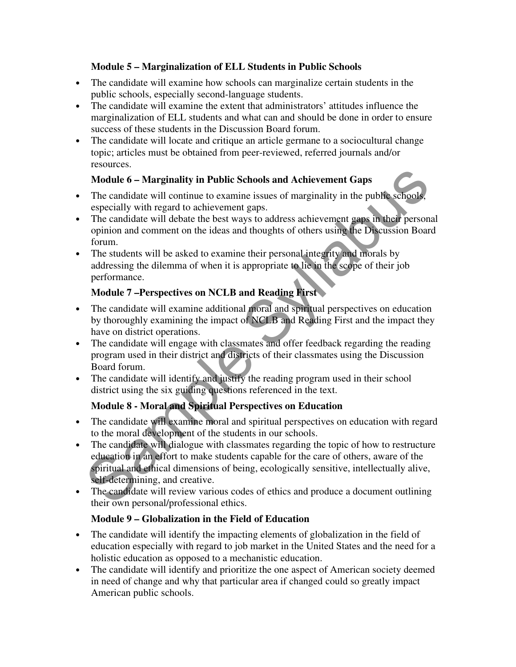### **Module 5 – Marginalization of ELL Students in Public Schools**

- The candidate will examine how schools can marginalize certain students in the public schools, especially second-language students.
- The candidate will examine the extent that administrators' attitudes influence the marginalization of ELL students and what can and should be done in order to ensure success of these students in the Discussion Board forum.
- The candidate will locate and critique an article germane to a sociocultural change topic; articles must be obtained from peer-reviewed, referred journals and/or resources.

### **Module 6 – Marginality in Public Schools and Achievement Gaps**

- The candidate will continue to examine issues of marginality in the public schools, especially with regard to achievement gaps.
- The candidate will debate the best ways to address achievement gaps in their personal opinion and comment on the ideas and thoughts of others using the Discussion Board forum.
- The students will be asked to examine their personal integrity and morals by addressing the dilemma of when it is appropriate to lie in the scope of their job performance.

### **Module 7 –Perspectives on NCLB and Reading First**

- The candidate will examine additional moral and spiritual perspectives on education by thoroughly examining the impact of NCLB and Reading First and the impact they have on district operations.
- The candidate will engage with classmates and offer feedback regarding the reading program used in their district and districts of their classmates using the Discussion Board forum.
- The candidate will identify and justify the reading program used in their school district using the six guiding questions referenced in the text.

### **Module 8 - Moral and Spiritual Perspectives on Education**

- The candidate will examine moral and spiritual perspectives on education with regard to the moral development of the students in our schools.
- **Module 6 Marginality in Public Schools and Achievement Gaps**<br>The candidate will continue to examine issues of marginality in the public schools,<br>expecially with regard to achievement gaps. The candidate will debate the • The candidate will dialogue with classmates regarding the topic of how to restructure education in an effort to make students capable for the care of others, aware of the spiritual and ethical dimensions of being, ecologically sensitive, intellectually alive, self-determining, and creative.
- The candidate will review various codes of ethics and produce a document outlining their own personal/professional ethics.

### **Module 9 – Globalization in the Field of Education**

- The candidate will identify the impacting elements of globalization in the field of education especially with regard to job market in the United States and the need for a holistic education as opposed to a mechanistic education.
- The candidate will identify and prioritize the one aspect of American society deemed in need of change and why that particular area if changed could so greatly impact American public schools.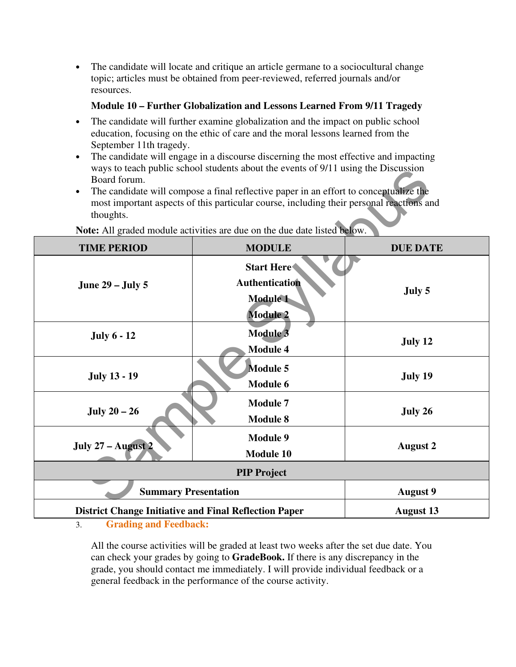• The candidate will locate and critique an article germane to a sociocultural change topic; articles must be obtained from peer-reviewed, referred journals and/or resources.

### **Module 10 – Further Globalization and Lessons Learned From 9/11 Tragedy**

- The candidate will further examine globalization and the impact on public school education, focusing on the ethic of care and the moral lessons learned from the September 11th tragedy.
- The candidate will engage in a discourse discerning the most effective and impacting ways to teach public school students about the events of 9/11 using the Discussion Board forum.
- The candidate will compose a final reflective paper in an effort to conceptualize the most important aspects of this particular course, including their personal reactions and thoughts.

| Board forum.<br>thoughts.                                                | ways to teach public school students about the events of 9/11 using the Discussion<br>The candidate will compose a final reflective paper in an effort to conceptualize the<br>most important aspects of this particular course, including their personal reactions and |                 |  |  |  |
|--------------------------------------------------------------------------|-------------------------------------------------------------------------------------------------------------------------------------------------------------------------------------------------------------------------------------------------------------------------|-----------------|--|--|--|
| Note: All graded module activities are due on the due date listed below. |                                                                                                                                                                                                                                                                         |                 |  |  |  |
| <b>TIME PERIOD</b>                                                       | <b>MODULE</b>                                                                                                                                                                                                                                                           | <b>DUE DATE</b> |  |  |  |
| <b>June 29 – July 5</b>                                                  | <b>Start Here</b><br>Authentication<br><b>Module 1</b><br><b>Module 2</b>                                                                                                                                                                                               | July 5          |  |  |  |
| <b>July 6 - 12</b>                                                       | <b>Module 3</b><br><b>Module 4</b>                                                                                                                                                                                                                                      | July 12         |  |  |  |
| <b>July 13 - 19</b>                                                      | <b>Module 5</b><br>Module 6                                                                                                                                                                                                                                             | July 19         |  |  |  |
| July $20-26$                                                             | <b>Module 7</b><br><b>Module 8</b>                                                                                                                                                                                                                                      | July 26         |  |  |  |
| July 27 - August 2                                                       | <b>Module 9</b><br><b>Module 10</b>                                                                                                                                                                                                                                     | <b>August 2</b> |  |  |  |
| <b>PIP Project</b>                                                       |                                                                                                                                                                                                                                                                         |                 |  |  |  |
| <b>Summary Presentation</b>                                              | <b>August 9</b>                                                                                                                                                                                                                                                         |                 |  |  |  |
| <b>District Change Initiative and Final Reflection Paper</b>             | <b>August 13</b>                                                                                                                                                                                                                                                        |                 |  |  |  |

3. **Grading and Feedback:**

All the course activities will be graded at least two weeks after the set due date. You can check your grades by going to **GradeBook.** If there is any discrepancy in the grade, you should contact me immediately. I will provide individual feedback or a general feedback in the performance of the course activity.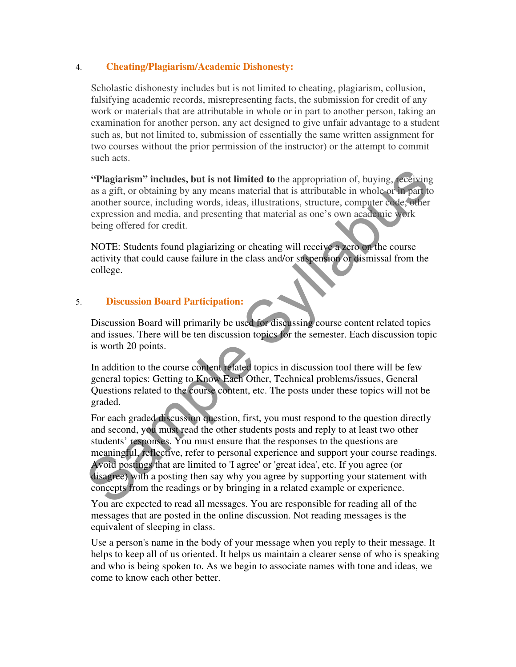### 4. **Cheating/Plagiarism/Academic Dishonesty:**

Scholastic dishonesty includes but is not limited to cheating, plagiarism, collusion, falsifying academic records, misrepresenting facts, the submission for credit of any work or materials that are attributable in whole or in part to another person, taking an examination for another person, any act designed to give unfair advantage to a student such as, but not limited to, submission of essentially the same written assignment for two courses without the prior permission of the instructor) or the attempt to commit such acts.

**"Plagiarism" includes, but is not limited to** the appropriation of, buying, receiving as a gift, or obtaining by any means material that is attributable in whole or in part to another source, including words, ideas, illustrations, structure, computer code, other expression and media, and presenting that material as one's own academic work being offered for credit.

NOTE: Students found plagiarizing or cheating will receive a zero on the course activity that could cause failure in the class and/or suspension or dismissal from the college.

### 5. **Discussion Board Participation:**

Discussion Board will primarily be used for discussing course content related topics and issues. There will be ten discussion topics for the semester. Each discussion topic is worth 20 points.

In addition to the course content related topics in discussion tool there will be few general topics: Getting to Know Each Other, Technical problems/issues, General Questions related to the course content, etc. The posts under these topics will not be graded.

**"Plagiarism" includes, but is not limited to the appropriation of, buying, receiving<br>as a gift, or obtaining by any means material that is attributable in whole or<br>more surface including words, ideas, illustrations, stru** For each graded discussion question, first, you must respond to the question directly and second, you must read the other students posts and reply to at least two other students' responses. You must ensure that the responses to the questions are meaningful, reflective, refer to personal experience and support your course readings. Avoid postings that are limited to 'I agree' or 'great idea', etc. If you agree (or disagree) with a posting then say why you agree by supporting your statement with concepts from the readings or by bringing in a related example or experience.

You are expected to read all messages. You are responsible for reading all of the messages that are posted in the online discussion. Not reading messages is the equivalent of sleeping in class.

Use a person's name in the body of your message when you reply to their message. It helps to keep all of us oriented. It helps us maintain a clearer sense of who is speaking and who is being spoken to. As we begin to associate names with tone and ideas, we come to know each other better.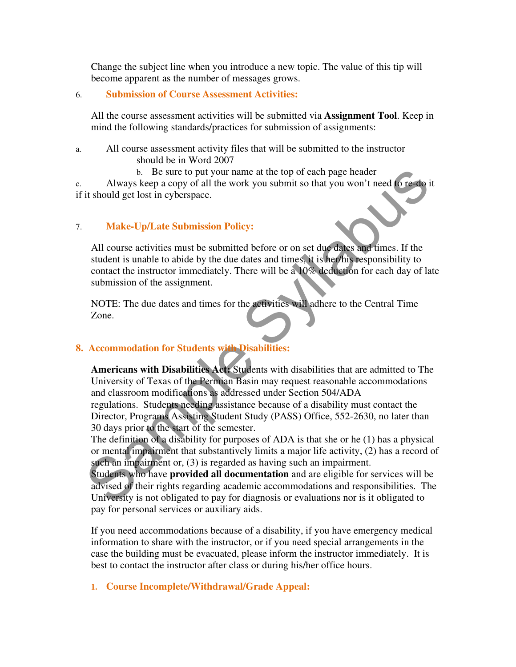Change the subject line when you introduce a new topic. The value of this tip will become apparent as the number of messages grows.

#### 6. **Submission of Course Assessment Activities:**

All the course assessment activities will be submitted via **Assignment Tool**. Keep in mind the following standards/practices for submission of assignments:

- a. All course assessment activity files that will be submitted to the instructor should be in Word 2007
	- b. Be sure to put your name at the top of each page header

c. Always keep a copy of all the work you submit so that you won't need to re-do it if it should get lost in cyberspace.

### 7. **Make-Up/Late Submission Policy:**

All course activities must be submitted before or on set due dates and times. If the student is unable to abide by the due dates and times, it is her/his responsibility to contact the instructor immediately. There will be a 10% deduction for each day of late submission of the assignment.

NOTE: The due dates and times for the activities will adhere to the Central Time Zone.

### **8. Accommodation for Students with Disabilities:**

b. Be sure to put your name at the top of each page header<br>Always keep a copy of all the work you submit so that you won't need to rest to<br>it should get lost in cyberspace.<br> **Make-Up/Late Submission Policy:**<br>
Sull course a **Americans with Disabilities Act:** Students with disabilities that are admitted to The University of Texas of the Permian Basin may request reasonable accommodations and classroom modifications as addressed under Section 504/ADA regulations. Students needing assistance because of a disability must contact the Director, Programs Assisting Student Study (PASS) Office, 552-2630, no later than 30 days prior to the start of the semester.

The definition of a disability for purposes of ADA is that she or he (1) has a physical or mental impairment that substantively limits a major life activity, (2) has a record of such an impairment or, (3) is regarded as having such an impairment.

Students who have **provided all documentation** and are eligible for services will be advised of their rights regarding academic accommodations and responsibilities. The University is not obligated to pay for diagnosis or evaluations nor is it obligated to pay for personal services or auxiliary aids.

If you need accommodations because of a disability, if you have emergency medical information to share with the instructor, or if you need special arrangements in the case the building must be evacuated, please inform the instructor immediately. It is best to contact the instructor after class or during his/her office hours.

**1. Course Incomplete/Withdrawal/Grade Appeal:**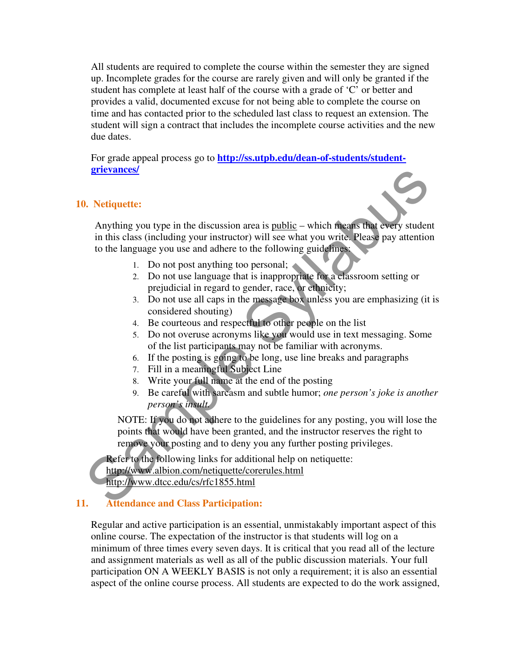All students are required to complete the course within the semester they are signed up. Incomplete grades for the course are rarely given and will only be granted if the student has complete at least half of the course with a grade of 'C' or better and provides a valid, documented excuse for not being able to complete the course on time and has contacted prior to the scheduled last class to request an extension. The student will sign a contract that includes the incomplete course activities and the new due dates.

For grade appeal process go to **http://ss.utpb.edu/dean-of-students/studentgrievances/**

#### **10. Netiquette:**

**Solution Syllabuse Syllabuse Computer Syllabuse Syllabuse Syllabuse Syllabuse Syllabuse Syllabuse Syllabuse Syllabuse Syllabuse Syllabuse Syllabuse Syllabuse Syllabuse Syllabuse Syllabuse Syllabuse Syllabuse Syllabuse Sy** Anything you type in the discussion area is public – which means that every student in this class (including your instructor) will see what you write. Please pay attention to the language you use and adhere to the following guidelines:

- 1. Do not post anything too personal;
- 2. Do not use language that is inappropriate for a classroom setting or prejudicial in regard to gender, race, or ethnicity;
- 3. Do not use all caps in the message box unless you are emphasizing (it is considered shouting)
- 4. Be courteous and respectful to other people on the list
- 5. Do not overuse acronyms like you would use in text messaging. Some of the list participants may not be familiar with acronyms.
- 6. If the posting is going to be long, use line breaks and paragraphs
- 7. Fill in a meaningful Subject Line
- 8. Write your full name at the end of the posting
- 9. Be careful with sarcasm and subtle humor; *one person's joke is another person's insult.*

NOTE: If you do not adhere to the guidelines for any posting, you will lose the points that would have been granted, and the instructor reserves the right to remove your posting and to deny you any further posting privileges.

Refer to the following links for additional help on netiquette: http://www.albion.com/netiquette/corerules.html http://www.dtcc.edu/cs/rfc1855.html

#### **11. Attendance and Class Participation:**

Regular and active participation is an essential, unmistakably important aspect of this online course. The expectation of the instructor is that students will log on a minimum of three times every seven days. It is critical that you read all of the lecture and assignment materials as well as all of the public discussion materials. Your full participation ON A WEEKLY BASIS is not only a requirement; it is also an essential aspect of the online course process. All students are expected to do the work assigned,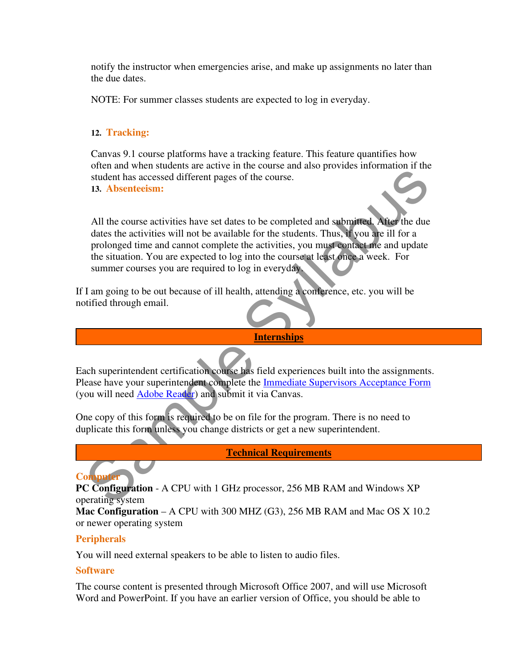notify the instructor when emergencies arise, and make up assignments no later than the due dates.

NOTE: For summer classes students are expected to log in everyday.

### **12. Tracking:**

Canvas 9.1 course platforms have a tracking feature. This feature quantifies how often and when students are active in the course and also provides information if the student has accessed different pages of the course. **13. Absenteeism:** 

Student has accessed different pages of the course.<br> **Student has accessed different pages of the course.**<br> **All the course activities will not be available for the students. Thus, if you are ill for a prolonged time and c** All the course activities have set dates to be completed and submitted. After the due dates the activities will not be available for the students. Thus, if you are ill for a prolonged time and cannot complete the activities, you must contact me and update the situation. You are expected to log into the course at least once a week. For summer courses you are required to log in everyday.

If I am going to be out because of ill health, attending a conference, etc. you will be notified through email.

#### **Internships**

Each superintendent certification course has field experiences built into the assignments. Please have your superintendent complete the Immediate Supervisors Acceptance Form (you will need Adobe Reader) and submit it via Canvas.

One copy of this form is required to be on file for the program. There is no need to duplicate this form unless you change districts or get a new superintendent.

**Technical Requirements**

### **Compute**

**PC Configuration** - A CPU with 1 GHz processor, 256 MB RAM and Windows XP operating system

**Mac Configuration** – A CPU with 300 MHZ (G3), 256 MB RAM and Mac OS X 10.2 or newer operating system

### **Peripherals**

You will need external speakers to be able to listen to audio files.

#### **Software**

The course content is presented through Microsoft Office 2007, and will use Microsoft Word and PowerPoint. If you have an earlier version of Office, you should be able to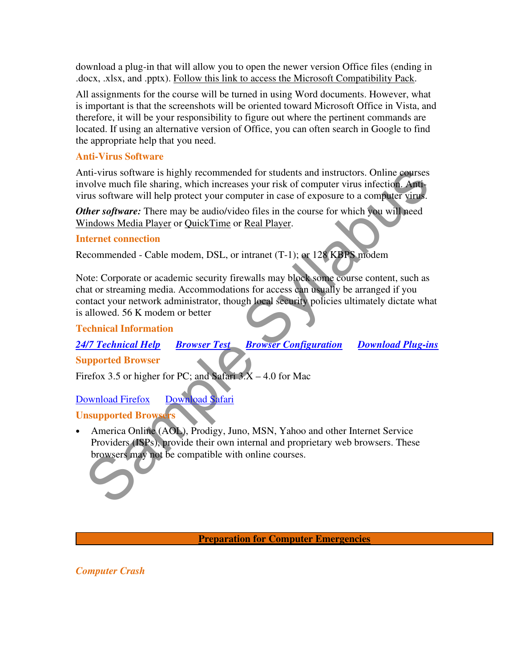download a plug-in that will allow you to open the newer version Office files (ending in .docx, .xlsx, and .pptx). Follow this link to access the Microsoft Compatibility Pack.

All assignments for the course will be turned in using Word documents. However, what is important is that the screenshots will be oriented toward Microsoft Office in Vista, and therefore, it will be your responsibility to figure out where the pertinent commands are located. If using an alternative version of Office, you can often search in Google to find the appropriate help that you need.

### **Anti-Virus Software**

Anti-virus software is highly recommended for students and instructors. Online courses involve much file sharing, which increases your risk of computer virus infection. Antivirus software will help protect your computer in case of exposure to a computer virus.

*Other software:* There may be audio/video files in the course for which you will need Windows Media Player or QuickTime or Real Player.

### **Internet connection**

Recommended - Cable modem, DSL, or intranet (T-1); or 128 KBPS modem

mit-virus software is highly recommended for students and instructors. Online courses<br>volve much file sharing, which increases your risk of computer virus infection. Anti-<br>volve much file sharing with increase your results Note: Corporate or academic security firewalls may block some course content, such as chat or streaming media. Accommodations for access can usually be arranged if you contact your network administrator, though local security policies ultimately dictate what is allowed. 56 K modem or better

### **Technical Information**

*24/7 Technical Help Browser Test Browser Configuration Download Plug-ins*

### **Supported Browser**

Firefox 3.5 or higher for PC; and Safari  $3.X - 4.0$  for Mac

### Download Firefox Download Safari

### **Unsupported Browsers**

• America Online (AOL), Prodigy, Juno, MSN, Yahoo and other Internet Service Providers (ISPs), provide their own internal and proprietary web browsers. These browsers may not be compatible with online courses.

#### **Preparation for Computer Emergencies**

### *Computer Crash*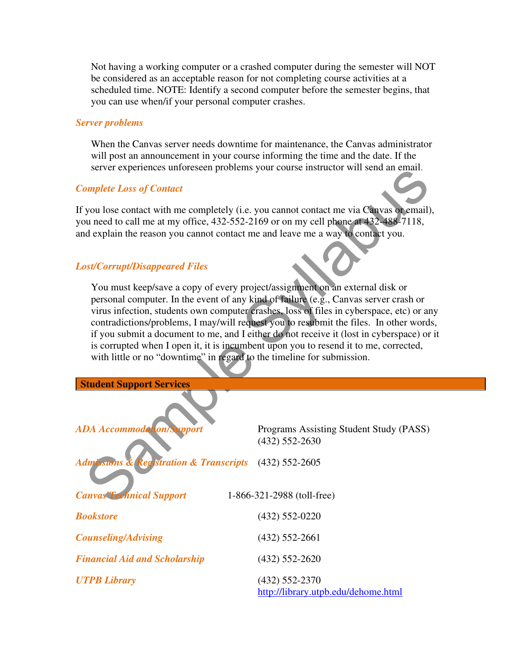Not having a working computer or a crashed computer during the semester will NOT be considered as an acceptable reason for not completing course activities at a scheduled time. NOTE: Identify a second computer before the semester begins, that you can use when/if your personal computer crashes.

#### *Server problems*

When the Canvas server needs downtime for maintenance, the Canvas administrator will post an announcement in your course informing the time and the date. If the server experiences unforeseen problems your course instructor will send an email.

#### *Complete Loss of Contact*

#### *Lost/Corrupt/Disappeared Files*

|                                                                                                                                                                                                                                                                                                                                                                                                                                                                                                                                                                                                                           | server experiences unioreseen problems your course instruction will send an email.       |  |  |  |
|---------------------------------------------------------------------------------------------------------------------------------------------------------------------------------------------------------------------------------------------------------------------------------------------------------------------------------------------------------------------------------------------------------------------------------------------------------------------------------------------------------------------------------------------------------------------------------------------------------------------------|------------------------------------------------------------------------------------------|--|--|--|
| <b>Complete Loss of Contact</b>                                                                                                                                                                                                                                                                                                                                                                                                                                                                                                                                                                                           |                                                                                          |  |  |  |
| you need to call me at my office, 432-552-2169 or on my cell phone at 432-488-7118,<br>and explain the reason you cannot contact me and leave me a way to contact you.                                                                                                                                                                                                                                                                                                                                                                                                                                                    | If you lose contact with me completely (i.e. you cannot contact me via Canvas or email), |  |  |  |
| <b>Lost/Corrupt/Disappeared Files</b>                                                                                                                                                                                                                                                                                                                                                                                                                                                                                                                                                                                     |                                                                                          |  |  |  |
| You must keep/save a copy of every project/assignment on an external disk or<br>personal computer. In the event of any kind of failure (e.g., Canvas server crash or<br>virus infection, students own computer crashes, loss of files in cyberspace, etc) or any<br>contradictions/problems, I may/will request you to resubmit the files. In other words,<br>if you submit a document to me, and I either do not receive it (lost in cyberspace) or it<br>is corrupted when I open it, it is incumbent upon you to resend it to me, corrected,<br>with little or no "downtime" in regard to the timeline for submission. |                                                                                          |  |  |  |
| <b>Student Support Services</b>                                                                                                                                                                                                                                                                                                                                                                                                                                                                                                                                                                                           |                                                                                          |  |  |  |
| <b>ADA Accommodation/Support</b>                                                                                                                                                                                                                                                                                                                                                                                                                                                                                                                                                                                          | Programs Assisting Student Study (PASS)<br>$(432) 552 - 2630$                            |  |  |  |
| <b>Registration &amp; Transcripts</b><br><b>Admissions &amp;</b>                                                                                                                                                                                                                                                                                                                                                                                                                                                                                                                                                          | $(432)$ 552-2605                                                                         |  |  |  |
| <b>Canvas Technical Support</b>                                                                                                                                                                                                                                                                                                                                                                                                                                                                                                                                                                                           |                                                                                          |  |  |  |
|                                                                                                                                                                                                                                                                                                                                                                                                                                                                                                                                                                                                                           | 1-866-321-2988 (toll-free)                                                               |  |  |  |
| <b>Bookstore</b>                                                                                                                                                                                                                                                                                                                                                                                                                                                                                                                                                                                                          | $(432)$ 552-0220                                                                         |  |  |  |
| <b>Counseling/Advising</b>                                                                                                                                                                                                                                                                                                                                                                                                                                                                                                                                                                                                | $(432)$ 552-2661                                                                         |  |  |  |
| <b>Financial Aid and Scholarship</b>                                                                                                                                                                                                                                                                                                                                                                                                                                                                                                                                                                                      | $(432)$ 552-2620                                                                         |  |  |  |